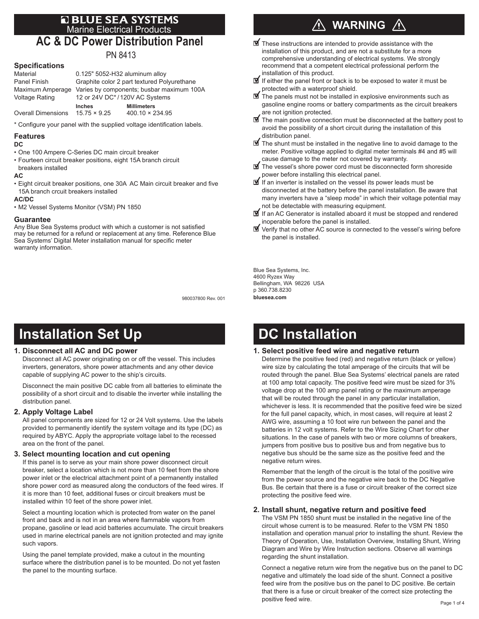## **E BLUE SEA SYSTEMS**<br>Marine Electrical Products **AC & DC Power Distribution Panel**

# PN 8413

## **Specifications**

| Material                  | 0.125" 5052-H32 aluminum alloy              |                        |
|---------------------------|---------------------------------------------|------------------------|
| Panel Finish              | Graphite color 2 part textured Polyurethane |                        |
| Maximum Amperage          | Varies by components; busbar maximum 100A   |                        |
| <b>Voltage Rating</b>     | 12 or 24V DC*/120V AC Systems               |                        |
|                           | <b>Inches</b>                               | <b>Millimeters</b>     |
| <b>Overall Dimensions</b> | $15.75 \times 9.25$                         | $400.10 \times 234.95$ |

\* Configure your panel with the supplied voltage identification labels.

#### **Features**

## **DC**

- One 100 Ampere C-Series DC main circuit breaker
- Fourteen circuit breaker positions, eight 15A branch circuit
- breakers installed

### **AC**

• Eight circuit breaker positions, one 30A AC Main circuit breaker and five 15A branch crcuit breakers installed

### **AC/DC**

• M2 Vessel Systems Monitor (VSM) PN 1850

#### **Guarantee**

Any Blue Sea Systems product with which a customer is not satisfied may be returned for a refund or replacement at any time. Reference Blue Sea Systems' Digital Meter installation manual for specific meter warranty information.

980037800 Rev. 001

## **Installation Set Up**

### **1. Disconnect all AC and DC power**

Disconnect all AC power originating on or off the vessel. This includes inverters, generators, shore power attachments and any other device capable of supplying AC power to the ship's circuits.

Disconnect the main positive DC cable from all batteries to eliminate the possibility of a short circuit and to disable the inverter while installing the distribution panel.

### **2. Apply Voltage Label**

All panel components are sized for 12 or 24 Volt systems. Use the labels provided to permanently identify the system voltage and its type (DC) as required by ABYC. Apply the appropriate voltage label to the recessed area on the front of the panel.

### **3. Select mounting location and cut opening**

If this panel is to serve as your main shore power disconnect circuit breaker, select a location which is not more than 10 feet from the shore power inlet or the electrical attachment point of a permanently installed shore power cord as measured along the conductors of the feed wires. If it is more than 10 feet, additional fuses or circuit breakers must be installed within 10 feet of the shore power inlet.

Select a mounting location which is protected from water on the panel front and back and is not in an area where flammable vapors from propane, gasoline or lead acid batteries accumulate. The circuit breakers used in marine electrical panels are not ignition protected and may ignite such vapors.

Using the panel template provided, make a cutout in the mounting surface where the distribution panel is to be mounted. Do not yet fasten the panel to the mounting surface.

## **WARNING**

- $\blacksquare$  These instructions are intended to provide assistance with the installation of this product, and are not a substitute for a more comprehensive understanding of electrical systems. We strongly recommend that a competent electrical professional perform the installation of this product.
- $\mathbf I$  If either the panel front or back is to be exposed to water it must be protected with a waterproof shield.
- $\mathbf \Psi$  The panels must not be installed in explosive environments such as gasoline engine rooms or battery compartments as the circuit breakers are not ignition protected.
- $\mathbf{\nabla}$  The main positive connection must be disconnected at the battery post to avoid the possibility of a short circuit during the installation of this distribution panel.
- $\mathbf{\nabla}$  The shunt must be installed in the negative line to avoid damage to the meter. Positive voltage applied to digital meter terminals #4 and #5 will cause damage to the meter not covered by warranty.
- The vessel's shore power cord must be disconnected form shoreside power before installing this electrical panel.
- $\blacksquare$  If an inverter is installed on the vessel its power leads must be disconnected at the battery before the panel installation. Be aware that many inverters have a "sleep mode" in which their voltage potential may not be detectable with measuring equipment.
- **If** If an AC Generator is installed aboard it must be stopped and rendered inoperable before the panel is installed.
- Verify that no other AC source is connected to the vessel's wiring before the panel is installed.

Blue Sea Systems, Inc. 4600 Ryzex Way Bellingham, WA 98226 USA p 360.738.8230 **bluesea.com**

## **DC Installation**

### **1. Select positive feed wire and negative return**

Determine the positive feed (red) and negative return (black or yellow) wire size by calculating the total amperage of the circuits that will be routed through the panel. Blue Sea Systems' electrical panels are rated at 100 amp total capacity. The positive feed wire must be sized for 3% voltage drop at the 100 amp panel rating or the maximum amperage that will be routed through the panel in any particular installation, whichever is less. It is recommended that the positive feed wire be sized for the full panel capacity, which, in most cases, will require at least 2 AWG wire, assuming a 10 foot wire run between the panel and the batteries in 12 volt systems. Refer to the Wire Sizing Chart for other situations. In the case of panels with two or more columns of breakers, jumpers from positive bus to positive bus and from negative bus to negative bus should be the same size as the positive feed and the negative return wires.

Remember that the length of the circuit is the total of the positive wire from the power source and the negative wire back to the DC Negative Bus. Be certain that there is a fuse or circuit breaker of the correct size protecting the positive feed wire.

### **2. Install shunt, negative return and positive feed**

The VSM PN 1850 shunt must be installed in the negative line of the circuit whose current is to be measured. Refer to the VSM PN 1850 installation and operation manual prior to installing the shunt. Review the Theory of Operation, Use, Installation Overview, Installing Shunt, Wiring Diagram and Wire by Wire Instruction sections. Observe all warnings regarding the shunt installation.

Connect a negative return wire from the negative bus on the panel to DC negative and ultimately the load side of the shunt. Connect a positive feed wire from the positive bus on the panel to DC positive. Be certain that there is a fuse or circuit breaker of the correct size protecting the positive feed wire.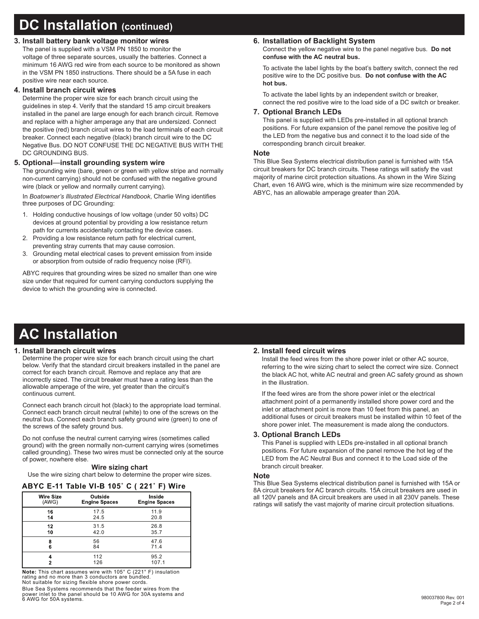## **DC Installation (continued)**

## **3. Install battery bank voltage monitor wires**

The panel is supplied with a VSM PN 1850 to monitor the voltage of three separate sources, usually the batteries. Connect a minimum 16 AWG red wire from each source to be monitored as shown in the VSM PN 1850 instructions. There should be a 5A fuse in each positive wire near each source.

#### **4. Install branch circuit wires**

Determine the proper wire size for each branch circuit using the guidelines in step 4. Verify that the standard 15 amp circuit breakers installed in the panel are large enough for each branch circuit. Remove and replace with a higher amperage any that are undersized. Connect the positive (red) branch circuit wires to the load terminals of each circuit breaker. Connect each negative (black) branch circuit wire to the DC Negative Bus. DO NOT CONFUSE THE DC NEGATIVE BUS WITH THE DC GROUNDING BUS.

### **5. Optional**—**install grounding system wire**

The grounding wire (bare, green or green with yellow stripe and normally non-current carrying) should not be confused with the negative ground wire (black or yellow and normally current carrying).

In *Boatowner's Illustrated Electrical Handbook*, Charlie Wing identifies three purposes of DC Grounding:

- 1. Holding conductive housings of low voltage (under 50 volts) DC devices at ground potential by providing a low resistance return path for currents accidentally contacting the device cases.
- 2. Providing a low resistance return path for electrical current, preventing stray currents that may cause corrosion.
- 3. Grounding metal electrical cases to prevent emission from inside or absorption from outside of radio frequency noise (RFI).

ABYC requires that grounding wires be sized no smaller than one wire size under that required for current carrying conductors supplying the device to which the grounding wire is connected.

## **6. Installation of Backlight System**

Connect the yellow negative wire to the panel negative bus. **Do not confuse with the AC neutral bus.**

To activate the label lights by the boat's battery switch, connect the red positive wire to the DC positive bus. **Do not confuse with the AC hot bus.**

To activate the label lights by an independent switch or breaker, connect the red positive wire to the load side of a DC switch or breaker.

#### **7. Optional Branch LEDs**

This panel is supplied with LEDs pre-installed in all optional branch positions. For future expansion of the panel remove the positive leg of the LED from the negative bus and connect it to the load side of the corresponding branch circuit breaker.

#### **Note**

This Blue Sea Systems electrical distribution panel is furnished with 15A circuit breakers for DC branch circuits. These ratings will satisfy the vast majority of marine circit protection situations. As shown in the Wire Sizing Chart, even 16 AWG wire, which is the minimum wire size recommended by ABYC, has an allowable amperage greater than 20A.

## **AC Installation**

### **1. Install branch circuit wires**

Determine the proper wire size for each branch circuit using the chart below. Verify that the standard circuit breakers installed in the panel are correct for each branch circuit. Remove and replace any that are incorrectly sized. The circuit breaker must have a rating less than the allowable amperage of the wire, yet greater than the circuit's continuous current.

Connect each branch circuit hot (black) to the appropriate load terminal. Connect each branch circuit neutral (white) to one of the screws on the neutral bus. Connect each branch safety ground wire (green) to one of the screws of the safety ground bus.

Do not confuse the neutral current carrying wires (sometimes called ground) with the green normally non-current carrying wires (sometimes called grounding). These two wires must be connected only at the source of power, nowhere else.

#### **Wire sizing chart**

Use the wire sizing chart below to determine the proper wire sizes.

## **ABYC E-11 Table VI-B 105˚ C ( 221˚ F) Wire**

| Wire Size | Outside              | Inside               |
|-----------|----------------------|----------------------|
| (AWG)     | <b>Engine Spaces</b> | <b>Engine Spaces</b> |
| 16        | 17.5                 | 11.9                 |
| 14        | 24.5                 | 20.8                 |
| 12        | 31.5                 | 26.8                 |
| 10        | 42.0                 | 35.7                 |
| 8         | 56                   | 47.6                 |
| 6         | 84                   | 71.4                 |
| 2         | 112<br>126           | 95.2<br>107.1        |

**Note:** This chart assumes wire with 105° C (221° F) insulation rating and no more than 3 conductors are bundled. Not suitable for sizing flexible shore power cords.

Blue Sea Systems recommends that the feeder wires from the power inlet to the panel should be 10 AWG for 30A systems and 6 AWG for 50A systems.

### **2. Install feed circuit wires**

Install the feed wires from the shore power inlet or other AC source, referring to the wire sizing chart to select the correct wire size. Connect the black AC hot, white AC neutral and green AC safety ground as shown in the illustration.

If the feed wires are from the shore power inlet or the electrical attachment point of a permanently installed shore power cord and the inlet or attachment point is more than 10 feet from this panel, an additional fuses or circuit breakers must be installed within 10 feet of the shore power inlet. The measurement is made along the conductors.

#### **3. Optional Branch LEDs**

This Panel is supplied with LEDs pre-installed in all optional branch positions. For future expansion of the panel remove the hot leg of the LED from the AC Neutral Bus and connect it to the Load side of the branch circuit breaker.

#### **Note**

This Blue Sea Systems electrical distribution panel is furnished with 15A or 8A circuit breakers for AC branch circuits. 15A circuit breakers are used in all 120V panels and 8A circuit breakers are used in all 230V panels. These ratings will satisfy the vast majority of marine circuit protection situations.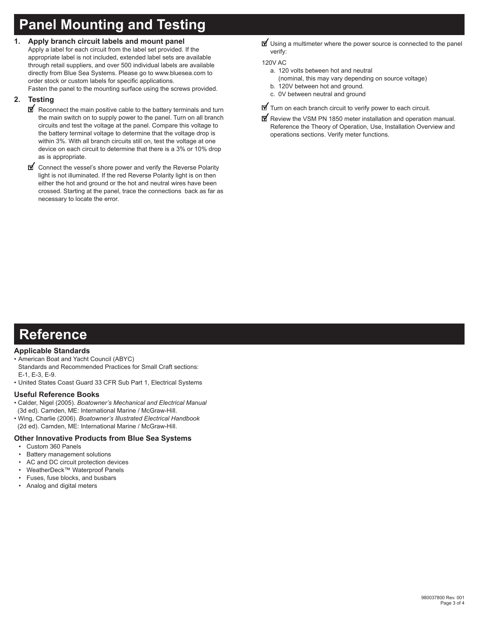## **Panel Mounting and Testing**

**1. Apply branch circuit labels and mount panel**

Apply a label for each circuit from the label set provided. If the appropriate label is not included, extended label sets are available through retail suppliers, and over 500 individual labels are available directly from Blue Sea Systems. Please go to www.bluesea.com to order stock or custom labels for specific applications.

Fasten the panel to the mounting surface using the screws provided.

## **2. Testing**

- $\mathbf{\nabla}$  Reconnect the main positive cable to the battery terminals and turn the main switch on to supply power to the panel. Turn on all branch circuits and test the voltage at the panel. Compare this voltage to the battery terminal voltage to determine that the voltage drop is within 3%. With all branch circuits still on, test the voltage at one device on each circuit to determine that there is a 3% or 10% drop as is appropriate.
- Connect the vessel's shore power and verify the Reverse Polarity light is not illuminated. If the red Reverse Polarity light is on then either the hot and ground or the hot and neutral wires have been crossed. Starting at the panel, trace the connections back as far as necessary to locate the error.

**V** Using a multimeter where the power source is connected to the panel verify:

## 120V AC

- a. 120 volts between hot and neutral
	- (nominal, this may vary depending on source voltage)
- b. 120V between hot and ground.
- c. 0V between neutral and ground
- $\mathbf{\mathbb{I}}$  Turn on each branch circuit to verify power to each circuit.
- Review the VSM PN 1850 meter installation and operation manual. Reference the Theory of Operation, Use, Installation Overview and operations sections. Verify meter functions.

## **Reference**

## **Applicable Standards**

- American Boat and Yacht Council (ABYC) Standards and Recommended Practices for Small Craft sections: E-1, E-3, E-9.
- United States Coast Guard 33 CFR Sub Part 1, Electrical Systems

## **Useful Reference Books**

- Calder, Nigel (2005). *Boatowner's Mechanical and Electrical Manual*  (3d ed). Camden, ME: International Marine / McGraw-Hill.
- Wing, Charlie (2006). *Boatowner's Illustrated Electrical Handbook*  (2d ed). Camden, ME: International Marine / McGraw-Hill.

## **Other Innovative Products from Blue Sea Systems**

- Custom 360 Panels
- Battery management solutions
- AC and DC circuit protection devices
- WeatherDeck™ Waterproof Panels
- Fuses, fuse blocks, and busbars
- Analog and digital meters